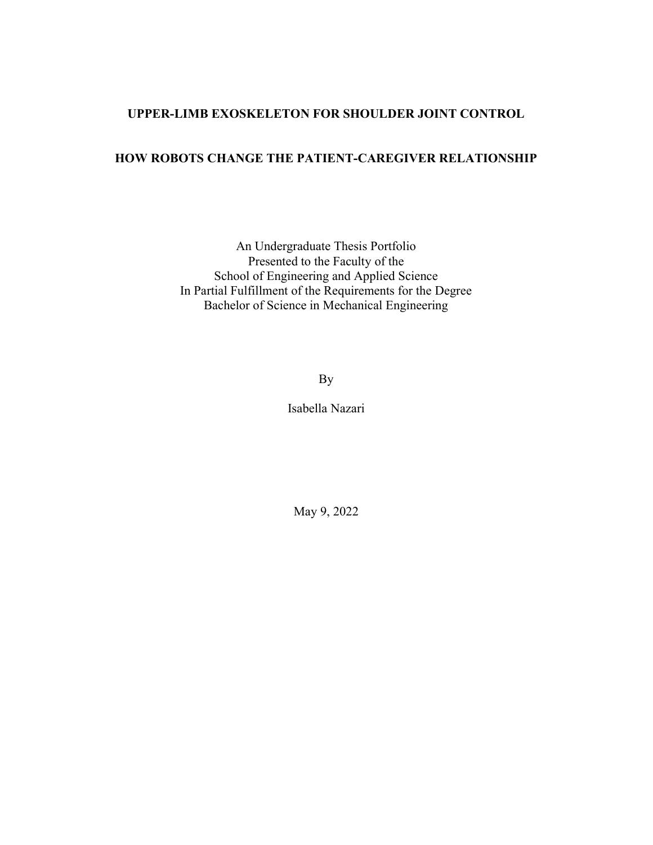#### UPPER-LIMB EXOSKELETON FOR SHOULDER JOINT CONTROL

## HOW ROBOTS CHANGE THE PATIENT-CAREGIVER RELATIONSHIP

An Undergraduate Thesis Portfolio Presented to the Faculty of the School of Engineering and Applied Science In Partial Fulfillment of the Requirements for the Degree Bachelor of Science in Mechanical Engineering

By

Isabella Nazari

May 9, 2022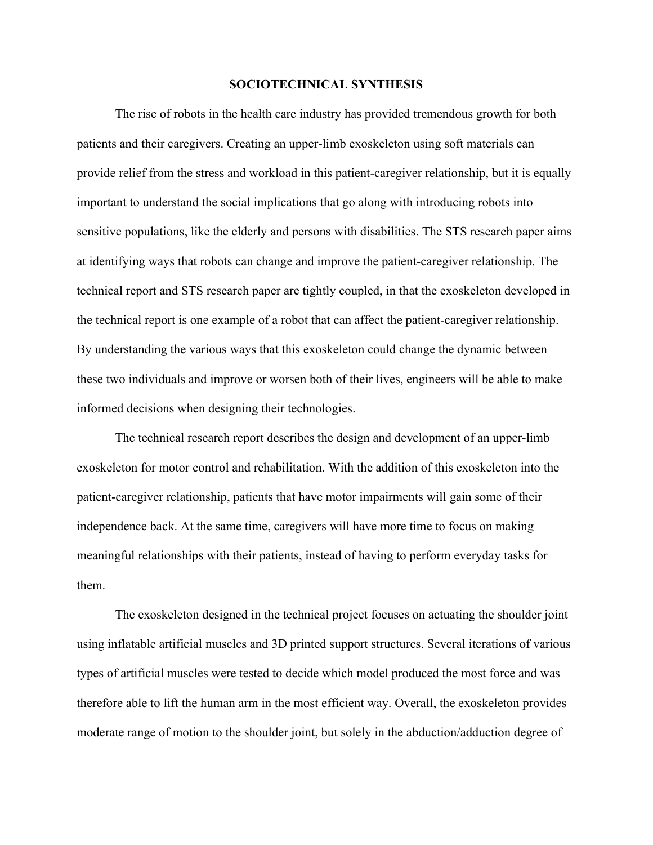#### SOCIOTECHNICAL SYNTHESIS

 The rise of robots in the health care industry has provided tremendous growth for both patients and their caregivers. Creating an upper-limb exoskeleton using soft materials can provide relief from the stress and workload in this patient-caregiver relationship, but it is equally important to understand the social implications that go along with introducing robots into sensitive populations, like the elderly and persons with disabilities. The STS research paper aims at identifying ways that robots can change and improve the patient-caregiver relationship. The technical report and STS research paper are tightly coupled, in that the exoskeleton developed in the technical report is one example of a robot that can affect the patient-caregiver relationship. By understanding the various ways that this exoskeleton could change the dynamic between these two individuals and improve or worsen both of their lives, engineers will be able to make informed decisions when designing their technologies.

The technical research report describes the design and development of an upper-limb exoskeleton for motor control and rehabilitation. With the addition of this exoskeleton into the patient-caregiver relationship, patients that have motor impairments will gain some of their independence back. At the same time, caregivers will have more time to focus on making meaningful relationships with their patients, instead of having to perform everyday tasks for them.

The exoskeleton designed in the technical project focuses on actuating the shoulder joint using inflatable artificial muscles and 3D printed support structures. Several iterations of various types of artificial muscles were tested to decide which model produced the most force and was therefore able to lift the human arm in the most efficient way. Overall, the exoskeleton provides moderate range of motion to the shoulder joint, but solely in the abduction/adduction degree of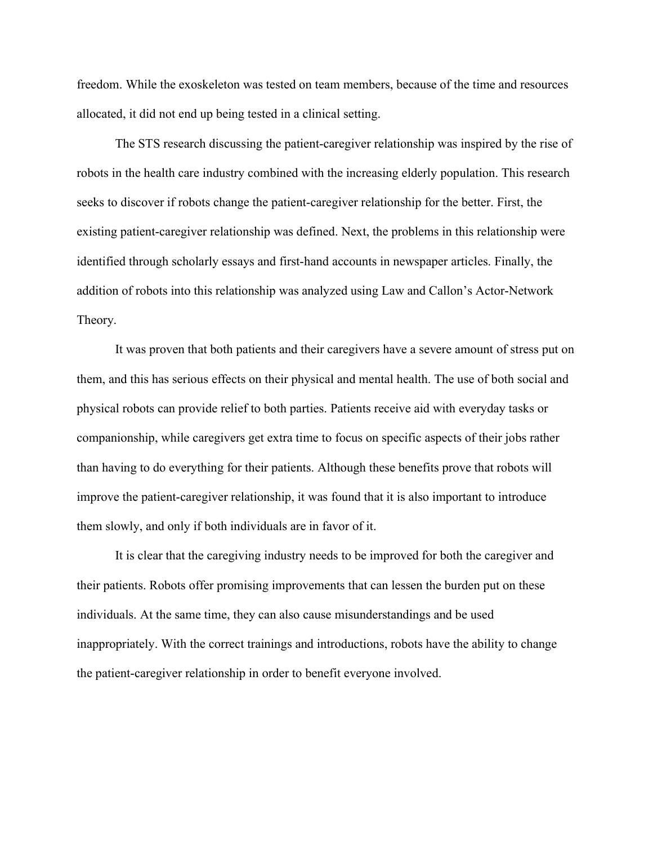freedom. While the exoskeleton was tested on team members, because of the time and resources allocated, it did not end up being tested in a clinical setting.

 The STS research discussing the patient-caregiver relationship was inspired by the rise of robots in the health care industry combined with the increasing elderly population. This research seeks to discover if robots change the patient-caregiver relationship for the better. First, the existing patient-caregiver relationship was defined. Next, the problems in this relationship were identified through scholarly essays and first-hand accounts in newspaper articles. Finally, the addition of robots into this relationship was analyzed using Law and Callon's Actor-Network Theory.

 It was proven that both patients and their caregivers have a severe amount of stress put on them, and this has serious effects on their physical and mental health. The use of both social and physical robots can provide relief to both parties. Patients receive aid with everyday tasks or companionship, while caregivers get extra time to focus on specific aspects of their jobs rather than having to do everything for their patients. Although these benefits prove that robots will improve the patient-caregiver relationship, it was found that it is also important to introduce them slowly, and only if both individuals are in favor of it.

 It is clear that the caregiving industry needs to be improved for both the caregiver and their patients. Robots offer promising improvements that can lessen the burden put on these individuals. At the same time, they can also cause misunderstandings and be used inappropriately. With the correct trainings and introductions, robots have the ability to change the patient-caregiver relationship in order to benefit everyone involved.